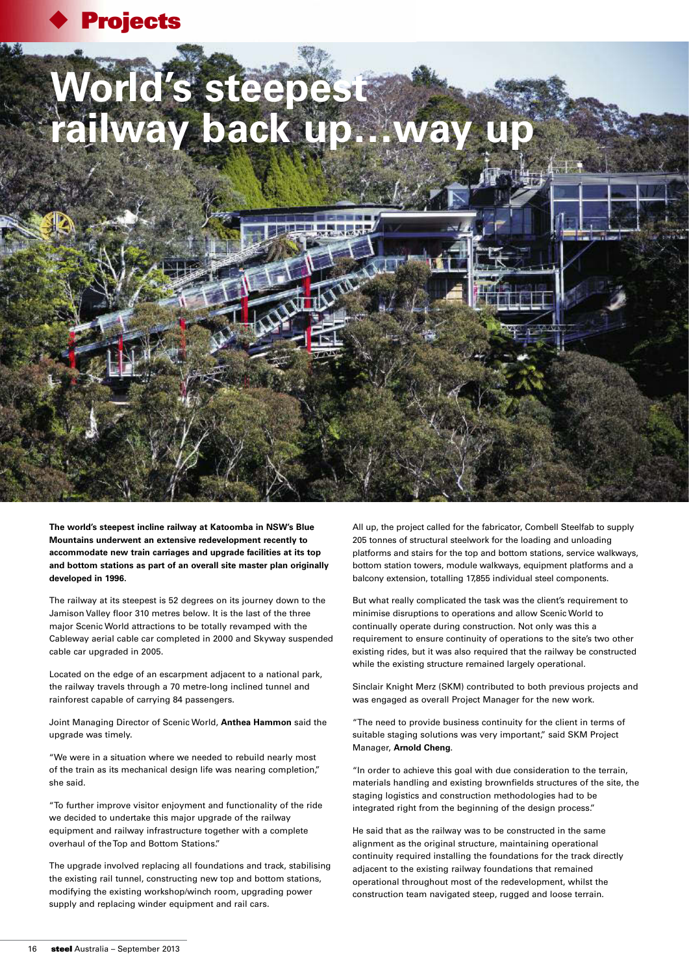

## **World's steepest**  railway back up...

**The world's steepest incline railway at Katoomba in NSW's Blue Mountains underwent an extensive redevelopment recently to accommodate new train carriages and upgrade facilities at its top and bottom stations as part of an overall site master plan originally developed in 1996.**

The railway at its steepest is 52 degrees on its journey down to the Jamison Valley floor 310 metres below. It is the last of the three major Scenic World attractions to be totally revamped with the Cableway aerial cable car completed in 2000 and Skyway suspended cable car upgraded in 2005.

Located on the edge of an escarpment adjacent to a national park, the railway travels through a 70 metre-long inclined tunnel and rainforest capable of carrying 84 passengers.

Joint Managing Director of Scenic World, **Anthea Hammon** said the upgrade was timely.

"We were in a situation where we needed to rebuild nearly most of the train as its mechanical design life was nearing completion," she said.

"To further improve visitor enjoyment and functionality of the ride we decided to undertake this major upgrade of the railway equipment and railway infrastructure together with a complete overhaul of the Top and Bottom Stations."

The upgrade involved replacing all foundations and track, stabilising the existing rail tunnel, constructing new top and bottom stations, modifying the existing workshop/winch room, upgrading power supply and replacing winder equipment and rail cars.

All up, the project called for the fabricator, Combell Steelfab to supply 205 tonnes of structural steelwork for the loading and unloading platforms and stairs for the top and bottom stations, service walkways, bottom station towers, module walkways, equipment platforms and a balcony extension, totalling 17,855 individual steel components.

But what really complicated the task was the client's requirement to minimise disruptions to operations and allow Scenic World to continually operate during construction. Not only was this a requirement to ensure continuity of operations to the site's two other existing rides, but it was also required that the railway be constructed while the existing structure remained largely operational.

Sinclair Knight Merz (SKM) contributed to both previous projects and was engaged as overall Project Manager for the new work.

"The need to provide business continuity for the client in terms of suitable staging solutions was very important," said SKM Project Manager, **Arnold Cheng**.

"In order to achieve this goal with due consideration to the terrain, materials handling and existing brownfields structures of the site, the staging logistics and construction methodologies had to be integrated right from the beginning of the design process."

He said that as the railway was to be constructed in the same alignment as the original structure, maintaining operational continuity required installing the foundations for the track directly adjacent to the existing railway foundations that remained operational throughout most of the redevelopment, whilst the construction team navigated steep, rugged and loose terrain.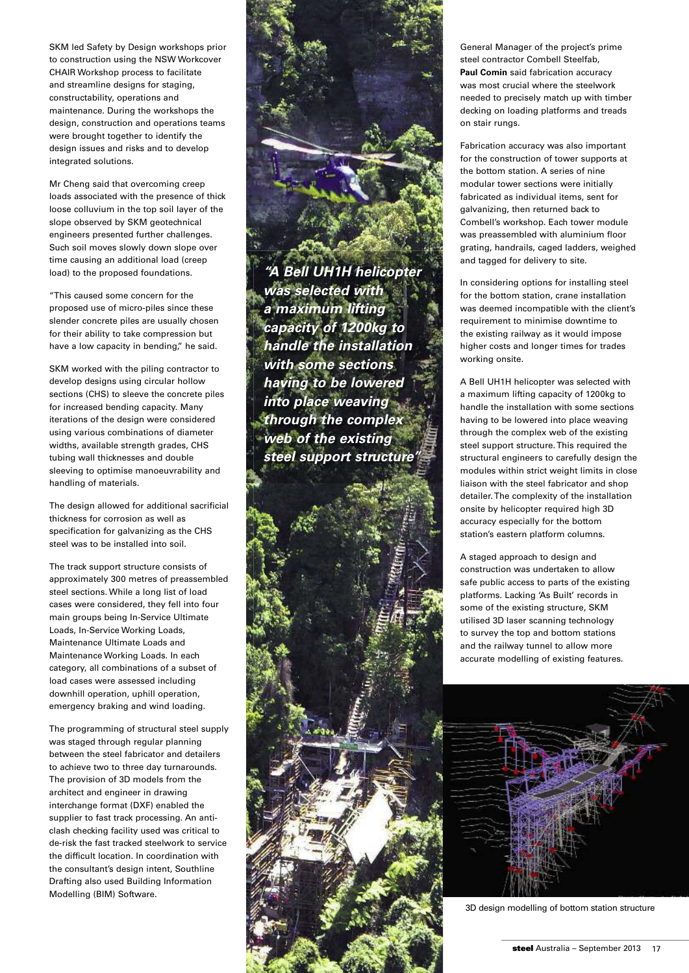SKM led Safety by Design workshops prior to construction using the NSW Workcover CHAIR Workshop process to facilitate and streamline designs for staging, constructability, operations and maintenance. During the workshops the design, construction and operations teams were brought together to identify the design issues and risks and to develop integrated solutions.

Mr Cheng said that overcoming creep loads associated with the presence of thick loose colluvium in the top soil layer of the slope observed by SKM geotechnical engineers presented further challenges. Such soil moves slowly down slope over time causing an additional load (creep load) to the proposed foundations.

"This caused some concern for the proposed use of micro-piles since these slender concrete piles are usually chosen for their ability to take compression but have a low capacity in bending," he said.

SKM worked with the piling contractor to develop designs using circular hollow sections (CHS) to sleeve the concrete piles for increased bending capacity. Many iterations of the design were considered using various combinations of diameter widths, available strength grades, CHS tubing wall thicknesses and double sleeving to optimise manoeuvrability and handling of materials.

The design allowed for additional sacrificial thickness for corrosion as well as specification for galvanizing as the CHS steel was to be installed into soil.

The track support structure consists of approximately 300 metres of preassembled steel sections. While a long list of load cases were considered, they fell into four main groups being In-Service Ultimate Loads, In-Service Working Loads, Maintenance Ultimate Loads and Maintenance Working Loads. In each category, all combinations of a subset of load cases were assessed including downhill operation, uphill operation, emergency braking and wind loading.

The programming of structural steel supply was staged through regular planning between the steel fabricator and detailers to achieve two to three day turnarounds. The provision of 3D models from the architect and engineer in drawing interchange format (DXF) enabled the supplier to fast track processing. An anticlash checking facility used was critical to de-risk the fast tracked steelwork to service the difficult location. In coordination with the consultant's design intent, Southline Drafting also used Building Information Modelling (BIM) Software.

*"A Bell UH1H helicopter was selected with a maximum lifting capacity of 1200kg to handle the installation with some sections having to be lowered into place weaving through the complex web of the existing steel support structure"*



Fabrication accuracy was also important for the construction of tower supports at the bottom station. A series of nine modular tower sections were initially fabricated as individual items, sent for galvanizing, then returned back to Combell's workshop. Each tower module was preassembled with aluminium floor grating, handrails, caged ladders, weighed and tagged for delivery to site.

In considering options for installing steel for the bottom station, crane installation was deemed incompatible with the client's requirement to minimise downtime to the existing railway as it would impose higher costs and longer times for trades working onsite.

A Bell UH1H helicopter was selected with a maximum lifting capacity of 1200kg to handle the installation with some sections having to be lowered into place weaving through the complex web of the existing steel support structure. This required the structural engineers to carefully design the modules within strict weight limits in close liaison with the steel fabricator and shop detailer. The complexity of the installation onsite by helicopter required high 3D accuracy especially for the bottom station's eastern platform columns.

A staged approach to design and construction was undertaken to allow safe public access to parts of the existing platforms. Lacking 'As Built' records in some of the existing structure, SKM utilised 3D laser scanning technology to survey the top and bottom stations and the railway tunnel to allow more accurate modelling of existing features.



3D design modelling of bottom station structure